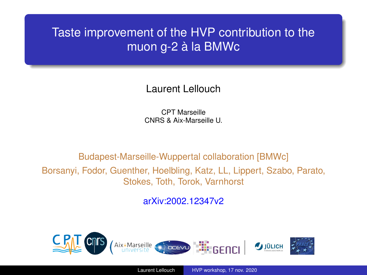#### <span id="page-0-0"></span>Taste improvement of the HVP contribution to the muon g-2 à la BMWc

Laurent Lellouch

CPT Marseille CNRS & Aix-Marseille U.

Budapest-Marseille-Wuppertal collaboration [BMWc] Borsanyi, Fodor, Guenther, Hoelbling, Katz, LL, Lippert, Szabo, Parato, Stokes, Toth, Torok, Varnhorst

arXiv:2002.12347v2

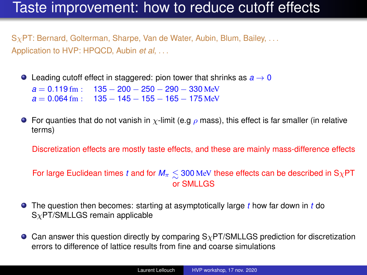# Taste improvement: how to reduce cutoff effects

 $S_{\chi}$ PT: Bernard, Golterman, Sharpe, Van de Water, Aubin, Blum, Bailey, ... Application to HVP: HPQCD, Aubin *et al*, . . .

**O** Leading cutoff effect in staggered: pion tower that shrinks as  $a \rightarrow 0$  $a = 0.119$  fm :  $135 - 200 - 250 - 290 - 330$  MeV  $a = 0.064$  fm :  $135 - 145 - 155 - 165 - 175$  MeV

**For quanties that do not vanish in**  $\chi$ -limit (e.g  $\rho$  mass), this effect is far smaller (in relative terms)

Discretization effects are mostly taste effects, and these are mainly mass-difference effects

For large Euclidean times *t* and for  $M_π ≤ 300$  MeV these effects can be described in SχPT or SMLLGS

- The question then becomes: starting at asymptotically large *t* how far down in *t* do  $S_{\chi}$ PT/SMLLGS remain applicable
- **Can answer this question directly by comparing**  $S<sub>X</sub>PT/SMLLGS$  **prediction for discretization** errors to difference of lattice results from fine and coarse simulations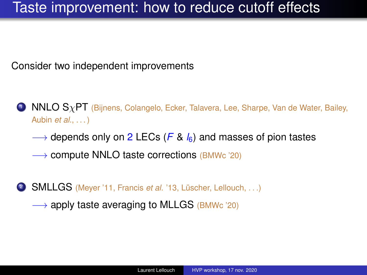# Taste improvement: how to reduce cutoff effects

Consider two independent improvements

- $\bullet$  NNLO S $\chi$ PT (Bijnens, Colangelo, Ecker, Talavera, Lee, Sharpe, Van de Water, Bailey, Aubin *et al.*, ...)
	- −→ depends only on 2 LECs (*F* & *l*6) and masses of pion tastes
	- −→ compute NNLO taste corrections (BMWc '20)
- 2 **SMLLGS** (Meyer '11, Francis *et al.* '13, Lüscher, Lellouch, ...)
	- $\rightarrow$  apply taste averaging to MLLGS (BMWc '20)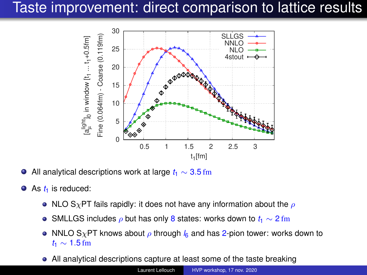# Taste improvement: direct comparison to lattice results



All analytical descriptions work at large  $t_1 \sim 3.5$  fm  $\bullet$ 

- As  $t_1$  is reduced:  $\bullet$ 
	- NLO S<sub>X</sub>PT fails rapidly: it does not have any information about the  $\rho$
	- SMLLGS includes ρ but has only 8 states: works down to *t*<sup>1</sup> ∼ 2 fm
	- NNLO S<sub>X</sub>PT knows about  $\rho$  through  $l_6$  and has 2-pion tower: works down to *t*<sup>1</sup> ∼ 1.5 fm
	- All analytical descriptions capture at least some of the taste breaking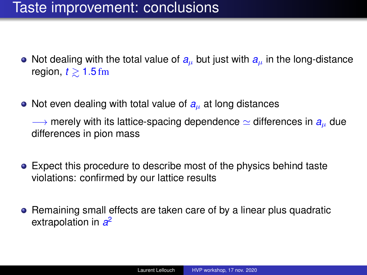# Taste improvement: conclusions

- Not dealing with the total value of  $a<sub>u</sub>$  but just with  $a<sub>u</sub>$  in the long-distance region, *<sup>t</sup>* <sup>&</sup>gt;<sup>∼</sup> <sup>1</sup>.<sup>5</sup> fm
- Not even dealing with total value of  $a<sub>u</sub>$  at long distances

 $\rightarrow$  merely with its lattice-spacing dependence  $\simeq$  differences in  $a<sub>u</sub>$  due differences in pion mass

- Expect this procedure to describe most of the physics behind taste violations: confirmed by our lattice results
- Remaining small effects are taken care of by a linear plus quadratic extrapolation in *a* 2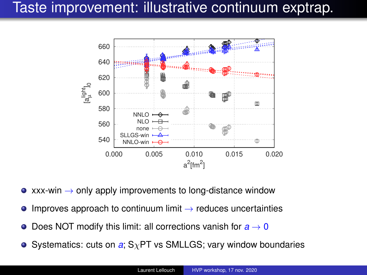# Taste improvement: illustrative continuum exptrap.



- $\bullet$  xxx-win  $\rightarrow$  only apply improvements to long-distance window
- Improves approach to continuum limit  $\rightarrow$  reduces uncertainties  $\bullet$
- Does NOT modify this limit: all corrections vanish for  $a \rightarrow 0$  $\bullet$
- Systematics: cuts on  $a$ ;  $S_\chi PT$  vs SMLLGS; vary window boundaries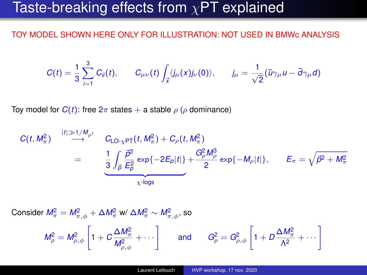## Taste-breaking effects from  $\chi$ PT explained

#### TOY MODEL SHOWN HERE ONLY FOR ILLUSTRATION: NOT USED IN BMWc ANALYSIS

$$
C(t) = \frac{1}{3} \sum_{i=1}^{3} C_{ii}(t), \qquad C_{\mu\nu}(t) \int_{\vec{x}} \langle j_{\mu}(x) j_{\nu}(0) \rangle, \qquad j_{\mu} = \frac{1}{\sqrt{2}} (\bar{u}\gamma_{\mu}u - \bar{d}\gamma_{\mu}d)
$$

Toy model for  $C(t)$ : free  $2\pi$  states  $+$  a stable  $\rho$  ( $\rho$  dominance)

$$
C(t, M_{\pi}^2) \stackrel{|t| \gg 1/M_{\rho'}}{\longrightarrow} C_{LO_{\chi}PT}(t, M_{\pi}^2) + C_{\rho}(t, M_{\pi}^2)
$$
  
= 
$$
\underbrace{\frac{1}{3} \int_{\vec{p}} \frac{\vec{p}^2}{E_{\rho}^2} \exp\{-2E_{\rho}|t|\} + \frac{G_{\rho}^2 M_{\rho}^3}{2} \exp\{-M_{\rho}|t|\}}, \qquad E_{\pi} = \sqrt{\vec{p}^2 + M_{\pi}^2}
$$

 $\textsf{Consider} \; \mathcal{M}_\pi^2 = \mathcal{M}_{\pi,\phi}^2 + \Delta \mathcal{M}_\pi^2 \;$ w/  $\Delta \mathcal{M}_\pi^2 \sim \mathcal{M}_{\pi,\phi}^2,$  so

$$
M_{\rho}^2 = M_{\rho,\phi}^2 \left[ 1 + C \frac{\Delta M_{\pi}^2}{M_{\rho,\phi}^2} + \cdots \right] \quad \text{and} \quad G_{\rho}^2 = G_{\rho,\phi}^2 \left[ 1 + D \frac{\Delta M_{\pi}^2}{\Lambda^2} + \cdots \right]
$$